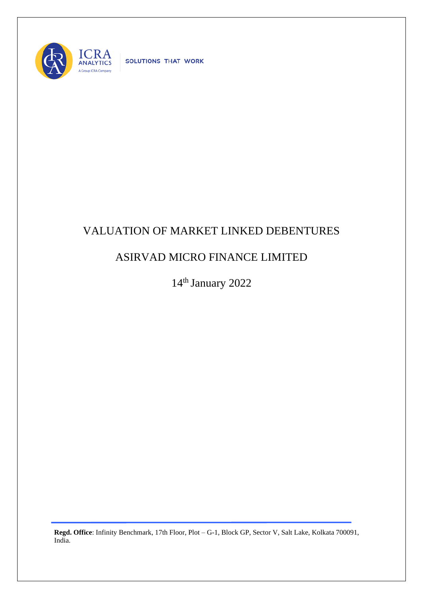

SOLUTIONS THAT WORK

## VALUATION OF MARKET LINKED DEBENTURES

## ASIRVAD MICRO FINANCE LIMITED

14<sup>th</sup> January 2022

**Regd. Office**: Infinity Benchmark, 17th Floor, Plot – G-1, Block GP, Sector V, Salt Lake, Kolkata 700091, India.